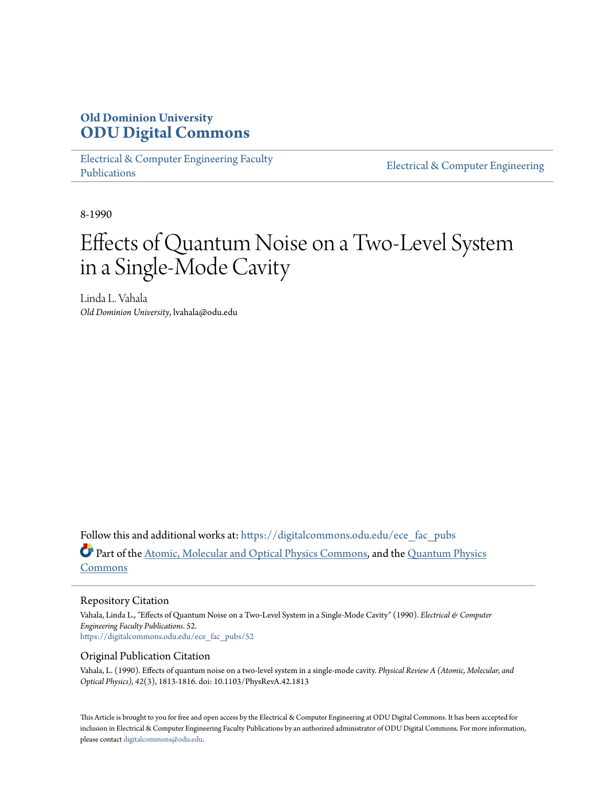# **Old Dominion University [ODU Digital Commons](https://digitalcommons.odu.edu?utm_source=digitalcommons.odu.edu%2Fece_fac_pubs%2F52&utm_medium=PDF&utm_campaign=PDFCoverPages)**

[Electrical & Computer Engineering Faculty](https://digitalcommons.odu.edu/ece_fac_pubs?utm_source=digitalcommons.odu.edu%2Fece_fac_pubs%2F52&utm_medium=PDF&utm_campaign=PDFCoverPages) [Publications](https://digitalcommons.odu.edu/ece_fac_pubs?utm_source=digitalcommons.odu.edu%2Fece_fac_pubs%2F52&utm_medium=PDF&utm_campaign=PDFCoverPages)

[Electrical & Computer Engineering](https://digitalcommons.odu.edu/ece?utm_source=digitalcommons.odu.edu%2Fece_fac_pubs%2F52&utm_medium=PDF&utm_campaign=PDFCoverPages)

8-1990

# Effects of Quantum Noise on a Two-Level System in a Single-Mode Cavity

Linda L. Vahala *Old Dominion University*, lvahala@odu.edu

Follow this and additional works at: [https://digitalcommons.odu.edu/ece\\_fac\\_pubs](https://digitalcommons.odu.edu/ece_fac_pubs?utm_source=digitalcommons.odu.edu%2Fece_fac_pubs%2F52&utm_medium=PDF&utm_campaign=PDFCoverPages) Part of the [Atomic, Molecular and Optical Physics Commons,](http://network.bepress.com/hgg/discipline/195?utm_source=digitalcommons.odu.edu%2Fece_fac_pubs%2F52&utm_medium=PDF&utm_campaign=PDFCoverPages) and the [Quantum Physics](http://network.bepress.com/hgg/discipline/206?utm_source=digitalcommons.odu.edu%2Fece_fac_pubs%2F52&utm_medium=PDF&utm_campaign=PDFCoverPages) [Commons](http://network.bepress.com/hgg/discipline/206?utm_source=digitalcommons.odu.edu%2Fece_fac_pubs%2F52&utm_medium=PDF&utm_campaign=PDFCoverPages)

## Repository Citation

Vahala, Linda L., "Effects of Quantum Noise on a Two-Level System in a Single-Mode Cavity" (1990). *Electrical & Computer Engineering Faculty Publications*. 52. [https://digitalcommons.odu.edu/ece\\_fac\\_pubs/52](https://digitalcommons.odu.edu/ece_fac_pubs/52?utm_source=digitalcommons.odu.edu%2Fece_fac_pubs%2F52&utm_medium=PDF&utm_campaign=PDFCoverPages)

# Original Publication Citation

Vahala, L. (1990). Effects of quantum noise on a two-level system in a single-mode cavity. *Physical Review A (Atomic, Molecular, and Optical Physics), 42*(3), 1813-1816. doi: 10.1103/PhysRevA.42.1813

This Article is brought to you for free and open access by the Electrical & Computer Engineering at ODU Digital Commons. It has been accepted for inclusion in Electrical & Computer Engineering Faculty Publications by an authorized administrator of ODU Digital Commons. For more information, please contact [digitalcommons@odu.edu](mailto:digitalcommons@odu.edu).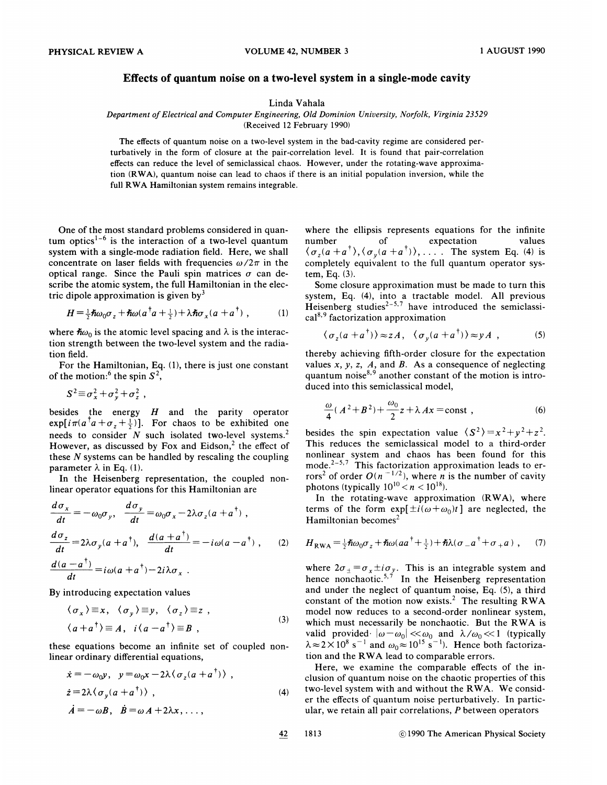### Effects of quantum noise on a two-level system in a single-mode cavity

#### Linda Vahala

Department of Electrical and Computer Engineering, Old Dominion University, Norfolk, Virginia 23529

(Received 12 February 1990}

The effects of quantum noise on a two-level system in the bad-cavity regime are considered perturbatively in the form of closure at the pair-correlation level. It is found that pair-correlation effects can reduce the level of semiclassical chaos. However, under the rotating-wave approximation (RWA}, quantum noise can lead to chaos if there is an initial population inversion, while the full RWA Hamiltonian system remains integrable.

One of the most standard problems considered in quantum optics<sup>1-6</sup> is the interaction of a two-level quantum system with a single-mode radiation field. Here, we shall concentrate on laser fields with frequencies  $\omega/2\pi$  in the optical range. Since the Pauli spin matrices  $\sigma$  can describe the atomic system, the full Hamiltonian in the electric dipole approximation is given by  $\delta$ 

$$
H = \frac{1}{2}\hbar\omega_0 \sigma_z + \hbar\omega (a^\dagger a + \frac{1}{2}) + \lambda \hbar \sigma_x (a + a^\dagger) , \qquad (1)
$$

where  $\hbar \omega_0$  is the atomic level spacing and  $\lambda$  is the interaction strength between the two-level system and the radiation field.

For the Hamiltonian, Eq. (1), there is just one constant of the motion:<sup>6</sup> the spin  $S^2$ , field.<br>
or the Hamiltoni<br>
ie motion: <sup>6</sup> the sp<br>  $S^2 \equiv \sigma_x^2 + \sigma_y^2 + \sigma_z^2$ 

$$
S^2 \equiv \sigma_x^2 + \sigma_y^2 + \sigma_z^2,
$$

besides the energy H and the parity operator  $\exp[i\pi(a^\dagger a + \sigma_z + \frac{1}{2})]$ . For chaos to be exhibited one needs to consider  $N$  such isolated two-level systems.<sup>2</sup> However, as discussed by Fox and Eidson, $<sup>2</sup>$  the effect of</sup> these  $N$  systems can be handled by rescaling the coupling parameter  $\lambda$  in Eq. (1).

In the Heisenberg representation, the coupled nonlinear operator equations for this Hamiltonian are

$$
\frac{d\sigma_x}{dt} = -\omega_0 \sigma_y, \quad \frac{d\sigma_y}{dt} = \omega_0 \sigma_x - 2\lambda \sigma_z (a + a^{\dagger}),
$$
  
\n
$$
\frac{d\sigma_z}{dt} = 2\lambda \sigma_y (a + a^{\dagger}), \quad \frac{d(a + a^{\dagger})}{dt} = -i\omega (a - a^{\dagger}),
$$
  
\n
$$
\frac{d(a - a^{\dagger})}{dt} = i\omega (a + a^{\dagger}) - 2i\lambda \sigma_x.
$$
\n(2)

By introducing expectation values  
\n
$$
\langle \sigma_x \rangle \equiv x, \quad \langle \sigma_y \rangle \equiv y, \quad \langle \sigma_z \rangle \equiv z
$$
,  
\n $\langle a + a^{\dagger} \rangle \equiv A, \quad i \langle a - a^{\dagger} \rangle \equiv B$ , (3)

these equations become an infinite set of coupled nonlinear ordinary differential equations,

$$
\dot{x} = -\omega_0 y, \quad y = \omega_0 x - 2\lambda \langle \sigma_z (a + a^{\dagger}) \rangle ,
$$
  
\n
$$
\dot{z} = 2\lambda \langle \sigma_y (a + a^{\dagger}) \rangle ,
$$
  
\n
$$
\dot{A} = -\omega B, \quad \dot{B} = \omega A + 2\lambda x, ...,
$$
\n(4)

where the ellipsis represents equations for the infinite number of expectation value  $\langle \sigma_z(a+a^{\dagger}), \langle \sigma_y(a+a^{\dagger}) \rangle, \ldots$ . The system Eq. (4) is completely equivalent to the full quantum operator system, Eq. (3).

Some closure approximation must be made to turn this system, Eq. (4), into a tractable model. All previous Heisenberg studies<sup> $2-5,7$ </sup> have introduced the semiclassical<sup>8,9</sup> factorization approximation

$$
\langle \sigma_z(a + a^{\dagger}) \rangle \approx z A, \quad \langle \sigma_y(a + a^{\dagger}) \rangle \approx y A \quad , \tag{5}
$$

thereby achieving fifth-order closure for the expectation values  $x, y, z, A$ , and  $B$ . As a consequence of neglecting quantum noise $^{8,9}$  another constant of the motion is introduced into this semiclassical model,

$$
\frac{\omega}{4}(A^2+B^2)+\frac{\omega_0}{2}z+\lambda Ax=\text{const},\qquad(6)
$$

besides the spin expectation value  $\langle S^2 \rangle = x^2 + y^2 + z^2$ . This reduces the semiclassical model to a third-order nonlinear system and chaos has been found for this mode.<sup>2-5,7</sup> This factorization approximation leads to errors<sup>2</sup> of order  $O(n^{-1/2})$ , where *n* is the number of cavity photons (typically  $10^{10} < n < 10^{18}$ ).

In the rotating-wave approximation (RWA), where terms of the form  $exp[\pm i(\omega+\omega_0)t]$  are neglected, the Hamiltonian becomes

$$
H_{\rm RWA} = \frac{1}{2} \hbar \omega_0 \sigma_z + \hbar \omega (a a^{\dagger} + \frac{1}{2}) + \hbar \lambda (\sigma_- a^{\dagger} + \sigma_+ a) , \quad (7)
$$

where  $2\sigma_{\pm} = \sigma_x \pm i \sigma_y$ . This is an integrable system and hence nonchaotic.<sup>5,7</sup> In the Heisenberg representation and under the neglect of quantum noise, Eq. (5), a third constant of the motion now exists.<sup>2</sup> The resulting RWA model now reduces to a second-order nonlinear system, which must necessarily be nonchaotic. But the RWA is which must necessarily be nonchaotic. But the KWA is<br>valid provided  $|\omega-\omega_0| \ll \omega_0$  and  $\lambda/\omega_0 \ll 1$  (typically  $\lambda \approx 2 \times 10^8$  s<sup>-1</sup> and  $\omega_0 \approx 10^{15}$  s<sup>-1</sup>). Hence both factoriza tion and the RWA lead to comparable errors.

Here, we examine the comparable effects of the inclusion of quantum noise on the chaotic properties of this two-level system with and without the RWA. We consider the effects of quantum noise perturbatively. In particular, we retain all pair correlations, P between operators

42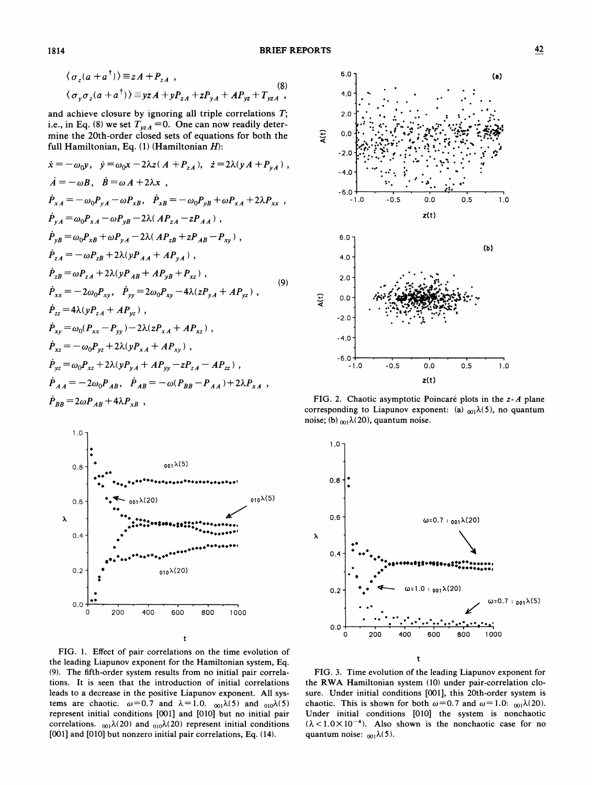$$
\langle \sigma_z(a+a^{\dagger}) \rangle \equiv zA + P_{zA} ,
$$
  
\n
$$
\langle \sigma_y \sigma_z(a+a^{\dagger}) \rangle \equiv yzA + yP_{zA} + zP_{yA} + AP_{yz} + T_{yzA} ,
$$
  
\n(8)

and achieve closure by ignoring all triple correlations  $T$ ; i.e., in Eq. (8) we set  $T_{yzA} = 0$ . One can now readily determine the 20th-order closed sets of equations for both the full Hamiltonian, Eq. (1) (Hamiltonian H):

$$
\begin{aligned}\n\dot{x} &= -\omega_{0}y, \quad \dot{y} = \omega_{0}x - 2\lambda z(A + P_{zA}), \quad \dot{z} = 2\lambda(yA + P_{yA}), \\
\dot{A} &= -\omega B, \quad \dot{B} = \omega A + 2\lambda x \quad , \\
\dot{P}_{xA} &= -\omega_{0}P_{yA} - \omega P_{xB}, \quad \dot{P}_{xB} = -\omega_{0}P_{yB} + \omega P_{xA} + 2\lambda P_{xx} \quad , \\
\dot{P}_{yA} &= \omega_{0}P_{xA} - \omega P_{yB} - 2\lambda(AP_{zA} - zP_{AA}), \\
\dot{P}_{yB} &= \omega_{0}P_{xB} + \omega P_{yA} - 2\lambda(AP_{zB} + zP_{AB} - P_{xy}) \quad , \\
\dot{P}_{zA} &= -\omega P_{zB} + 2\lambda(yP_{AA} + AP_{yA}), \\
\dot{P}_{zB} &= \omega P_{zA} + 2\lambda(yP_{AB} + AP_{yB} + P_{xz}) \quad , \\
\dot{P}_{xx} &= -2\omega_{0}P_{xy}, \quad \dot{P}_{yy} = 2\omega_{0}P_{xy} - 4\lambda(zP_{yA} + AP_{yz}) \quad , \\
\dot{P}_{zz} &= 4\lambda(yP_{zA} + AP_{yz}) \quad , \\
\dot{P}_{xy} &= \omega_{0}(P_{xx} - P_{yy}) - 2\lambda(zP_{xA} + AP_{xz}) \quad , \\
\dot{P}_{xz} &= -\omega_{0}P_{yz} + 2\lambda(yP_{xA} + AP_{yy}) \quad , \\
\dot{P}_{yz} &= \omega_{0}P_{xz} + 2\lambda(yP_{yA} + AP_{yy} - zP_{zA} - AP_{zz}) \quad , \\
\dot{P}_{AB} &= -2\omega_{0}P_{AB}, \quad \dot{P}_{AB} = -\omega(P_{BB} - P_{AA}) + 2\lambda P_{xA} \quad , \\
\dot{P}_{BB} &= 2\omega P_{AB} + 4\lambda P_{XB} \quad ,\n\end{aligned}
$$



FIG. 1. Effect of pair correlations on the time evolution of the leading Liapunov exponent for the Hamiltonian system, Eq. (9). The fifth-order system results from no initial pair correlations. It is seen that the introduction of initial correlations leads to a decrease in the positive Liapunov exponent. All systems are chaotic.  $\omega = 0.7$  and  $\lambda = 1.0$ .  $_{001}\lambda(5)$  and  $_{010}\lambda(5)$ represent initial conditions [001] and [010] but no initial pair correlations.  $_{001}\lambda(20)$  and  $_{010}\lambda(20)$  represent initial conditions [001] and [010] but nonzero initial pair correlations, Eq. (14).



FIG. 2. Chaotic asymptotic Poincaré plots in the z-A plane corresponding to Liapunov exponent: (a)  $_{001}\lambda(5)$ , no quantum noise; (b)  $_{001}\lambda(20)$ , quantum noise.



FIG. 3. Time evolution of the leading Liapunov exponent for the RWA Hamiltonian system (10) under pair-correlation closure. Under initial conditions [001], this 20th-order system is chaotic. This is shown for both  $\omega = 0.7$  and  $\omega = 1.0$ :  $_{001}\lambda(20)$ . Under initial conditions [010] the system is nonchaotic  $(\lambda < 1.0 \times 10^{-4})$ . Also shown is the nonchaotic case for no quantum noise:  $_{001}\lambda(5)$ .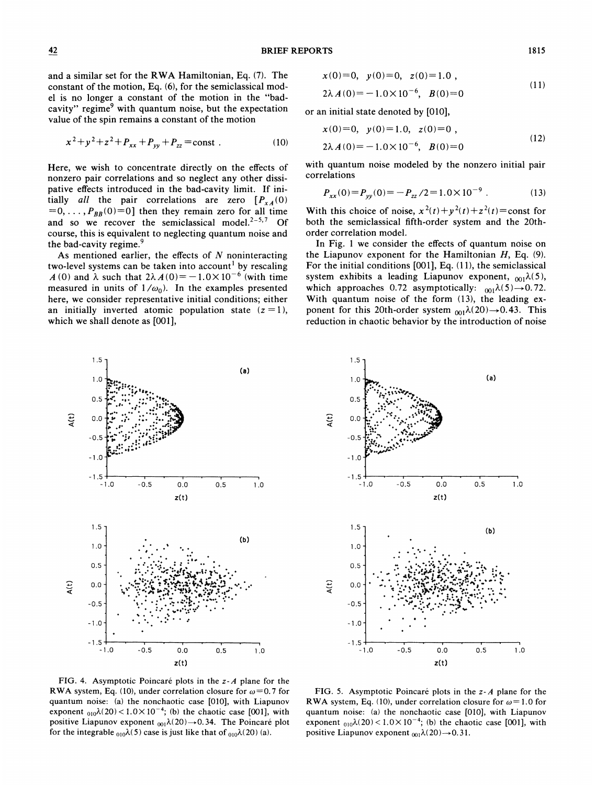$$
x^{2} + y^{2} + z^{2} + P_{xx} + P_{yy} + P_{zz} = const.
$$
 (10)

Here, we wish to concentrate directly on the effects of nonzero pair correlations and so neglect any other dissipative effects introduced in the bad-cavity limit. If initially all the pair correlations are zero  $[P_{xA}(0)]$  $=0, \ldots, P_{BB}(0) = 0$ ] then they remain zero for all time and so we recover the semiclassical model. $2-5,7$  Of course, this is equivalent to neglecting quantum noise and the bad-cavity regime.

As mentioned earlier, the effects of  $N$  noninteracting two-level systems can be taken into account' by rescaling A (0) and  $\lambda$  such that  $2\lambda A(0) = -1.0 \times 10^{-6}$  (with time measured in units of  $1/\omega_0$ ). In the examples presented here, we consider representative initial conditions; either an initially inverted atomic population state  $(z = 1)$ , which we shall denote as [001],

> 1.0  $0.5$  $0.0$  $-0.5$  $-1.0$

 $\mathbf{a}(t)$ 

-1.<sup>5</sup> -1.0

1.5- 1.0- 0.5 $\mathbb{R}^{n\times n}$  is the set  $\ldots$  : g

stt ~

<sup>t</sup> tt gttet

tt <sup>t</sup> <sup>t</sup> ttt<sup>t</sup>  $\mathcal{G}^{\text{max}}_{\text{max}}$ ., t t  $\bm{\mu}$  $\ldots$ 

> I -0.5

> > t t

~

 $t$  to the transform of  $\eta$ 

t til til t  $\{x_i, y_i\}_{i \in I}$  , the state

0.0 z(t)

t

 $\dddotsc$ 

 $0.5$ 

t

(b)

 $(a)$ 

I 1.0

$$
x(0)=0, y(0)=0, z(0)=1.0,
$$
\n(11)

$$
2\lambda A(0) = -1.0 \times 10^{-6}, \quad B(0) = 0 \tag{11}
$$

or an initial state denoted by [010],

$$
x(0)=0, y(0)=1.0, z(0)=0,
$$
  

$$
2\lambda A(0)=-1.0\times10^{-6}, B(0)=0
$$
 (12)

with quantum noise modeled by the nonzero initial pair correlations

$$
P_{xx}(0) = P_{yy}(0) = -P_{zz}/2 = 1.0 \times 10^{-9} . \tag{13}
$$

With this choice of noise,  $x^2(t)+y^2(t)+z^2(t)=$ const for both the semiclassical fifth-order system and the 20thorder correlation model.

In Fig. <sup>1</sup> we consider the effects of quantum noise on the Liapunov exponent for the Hamiltonian  $H$ , Eq. (9). For the initial conditions  $[001]$ , Eq.  $(11)$ , the semiclassical system exhibits a leading Liapunov exponent,  $_{001}\lambda(5)$ , which approaches 0.72 asymptotically:  $_{001}\lambda(5) \rightarrow 0.72$ . With quantum noise of the form (13), the leading exponent for this 20th-order system  $_{001}\lambda(20) \rightarrow 0.43$ . This reduction in chaotic behavior by the introduction of noise



FIG. 5. Asymptotic Poincaré plots in the  $z - A$  plane for the RWA system, Eq. (10), under correlation closure for  $\omega=1.0$  for quantum noise: (a) the nonchaotic case [010], with Liapunov exponent  $_{010}\lambda(20) < 1.0 \times 10^{-4}$ ; (b) the chaotic case [001], with positive Liapunov exponent  $_{001}\lambda(20) \rightarrow 0.31$ .